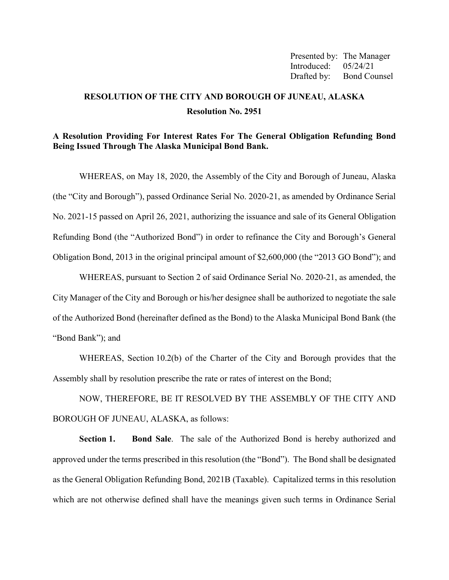Presented by: The Manager Introduced: 05/24/21 Drafted by: Bond Counsel

# **RESOLUTION OF THE CITY AND BOROUGH OF JUNEAU, ALASKA Resolution No. 2951**

### **A Resolution Providing For Interest Rates For The General Obligation Refunding Bond Being Issued Through The Alaska Municipal Bond Bank.**

WHEREAS, on May 18, 2020, the Assembly of the City and Borough of Juneau, Alaska (the "City and Borough"), passed Ordinance Serial No. 2020-21, as amended by Ordinance Serial No. 2021-15 passed on April 26, 2021, authorizing the issuance and sale of its General Obligation Refunding Bond (the "Authorized Bond") in order to refinance the City and Borough's General Obligation Bond, 2013 in the original principal amount of \$2,600,000 (the "2013 GO Bond"); and

WHEREAS, pursuant to Section 2 of said Ordinance Serial No. 2020-21, as amended, the City Manager of the City and Borough or his/her designee shall be authorized to negotiate the sale of the Authorized Bond (hereinafter defined as the Bond) to the Alaska Municipal Bond Bank (the "Bond Bank"); and

WHEREAS, Section 10.2(b) of the Charter of the City and Borough provides that the Assembly shall by resolution prescribe the rate or rates of interest on the Bond;

NOW, THEREFORE, BE IT RESOLVED BY THE ASSEMBLY OF THE CITY AND BOROUGH OF JUNEAU, ALASKA, as follows:

**Section 1. Bond Sale**. The sale of the Authorized Bond is hereby authorized and approved under the terms prescribed in this resolution (the "Bond"). The Bond shall be designated as the General Obligation Refunding Bond, 2021B (Taxable). Capitalized terms in this resolution which are not otherwise defined shall have the meanings given such terms in Ordinance Serial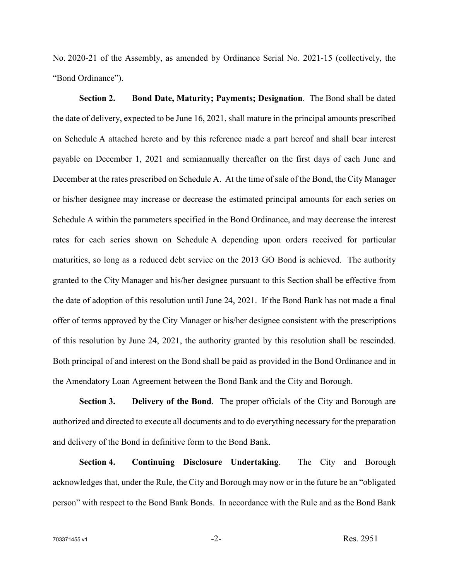No. 2020-21 of the Assembly, as amended by Ordinance Serial No. 2021-15 (collectively, the "Bond Ordinance").

**Section 2. Bond Date, Maturity; Payments; Designation**. The Bond shall be dated the date of delivery, expected to be June 16, 2021, shall mature in the principal amounts prescribed on Schedule A attached hereto and by this reference made a part hereof and shall bear interest payable on December 1, 2021 and semiannually thereafter on the first days of each June and December at the rates prescribed on Schedule A. At the time of sale of the Bond, the City Manager or his/her designee may increase or decrease the estimated principal amounts for each series on Schedule A within the parameters specified in the Bond Ordinance, and may decrease the interest rates for each series shown on Schedule A depending upon orders received for particular maturities, so long as a reduced debt service on the 2013 GO Bond is achieved. The authority granted to the City Manager and his/her designee pursuant to this Section shall be effective from the date of adoption of this resolution until June 24, 2021. If the Bond Bank has not made a final offer of terms approved by the City Manager or his/her designee consistent with the prescriptions of this resolution by June 24, 2021, the authority granted by this resolution shall be rescinded. Both principal of and interest on the Bond shall be paid as provided in the Bond Ordinance and in the Amendatory Loan Agreement between the Bond Bank and the City and Borough.

**Section 3. Delivery of the Bond**. The proper officials of the City and Borough are authorized and directed to execute all documents and to do everything necessary for the preparation and delivery of the Bond in definitive form to the Bond Bank.

**Section 4. Continuing Disclosure Undertaking**. The City and Borough acknowledges that, under the Rule, the City and Borough may now or in the future be an "obligated person" with respect to the Bond Bank Bonds. In accordance with the Rule and as the Bond Bank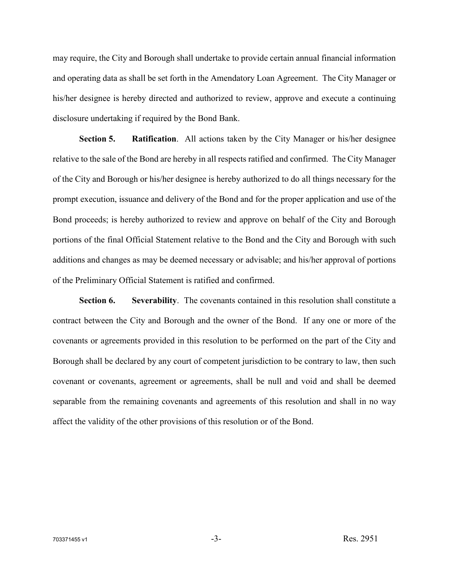may require, the City and Borough shall undertake to provide certain annual financial information and operating data as shall be set forth in the Amendatory Loan Agreement. The City Manager or his/her designee is hereby directed and authorized to review, approve and execute a continuing disclosure undertaking if required by the Bond Bank.

**Section 5. Ratification**. All actions taken by the City Manager or his/her designee relative to the sale of the Bond are hereby in all respects ratified and confirmed. The City Manager of the City and Borough or his/her designee is hereby authorized to do all things necessary for the prompt execution, issuance and delivery of the Bond and for the proper application and use of the Bond proceeds; is hereby authorized to review and approve on behalf of the City and Borough portions of the final Official Statement relative to the Bond and the City and Borough with such additions and changes as may be deemed necessary or advisable; and his/her approval of portions of the Preliminary Official Statement is ratified and confirmed.

**Section 6. Severability**. The covenants contained in this resolution shall constitute a contract between the City and Borough and the owner of the Bond. If any one or more of the covenants or agreements provided in this resolution to be performed on the part of the City and Borough shall be declared by any court of competent jurisdiction to be contrary to law, then such covenant or covenants, agreement or agreements, shall be null and void and shall be deemed separable from the remaining covenants and agreements of this resolution and shall in no way affect the validity of the other provisions of this resolution or of the Bond.

 $703371455 \text{ v1}$  Res. 2951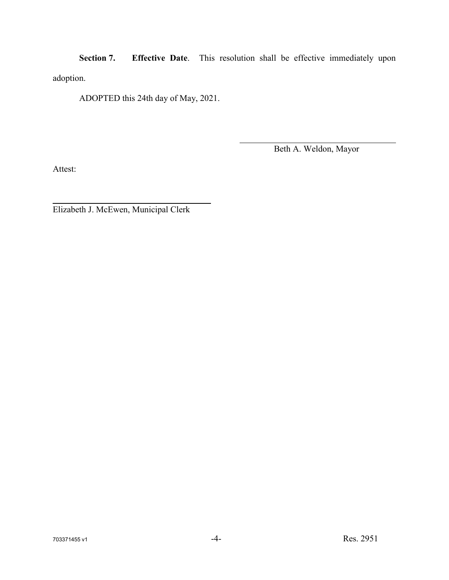**Section 7. Effective Date**. This resolution shall be effective immediately upon adoption.

ADOPTED this 24th day of May, 2021.

Beth A. Weldon, Mayor

Attest:

Elizabeth J. McEwen, Municipal Clerk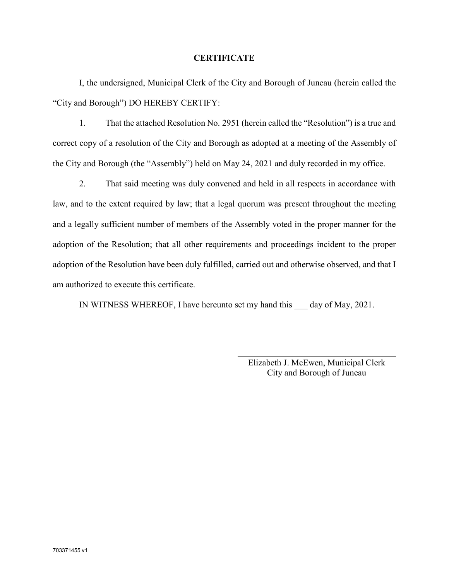#### **CERTIFICATE**

I, the undersigned, Municipal Clerk of the City and Borough of Juneau (herein called the "City and Borough") DO HEREBY CERTIFY:

1. That the attached Resolution No. 2951 (herein called the "Resolution") is a true and correct copy of a resolution of the City and Borough as adopted at a meeting of the Assembly of the City and Borough (the "Assembly") held on May 24, 2021 and duly recorded in my office.

2. That said meeting was duly convened and held in all respects in accordance with law, and to the extent required by law; that a legal quorum was present throughout the meeting and a legally sufficient number of members of the Assembly voted in the proper manner for the adoption of the Resolution; that all other requirements and proceedings incident to the proper adoption of the Resolution have been duly fulfilled, carried out and otherwise observed, and that I am authorized to execute this certificate.

IN WITNESS WHEREOF, I have hereunto set my hand this \_\_\_ day of May, 2021.

Elizabeth J. McEwen, Municipal Clerk City and Borough of Juneau